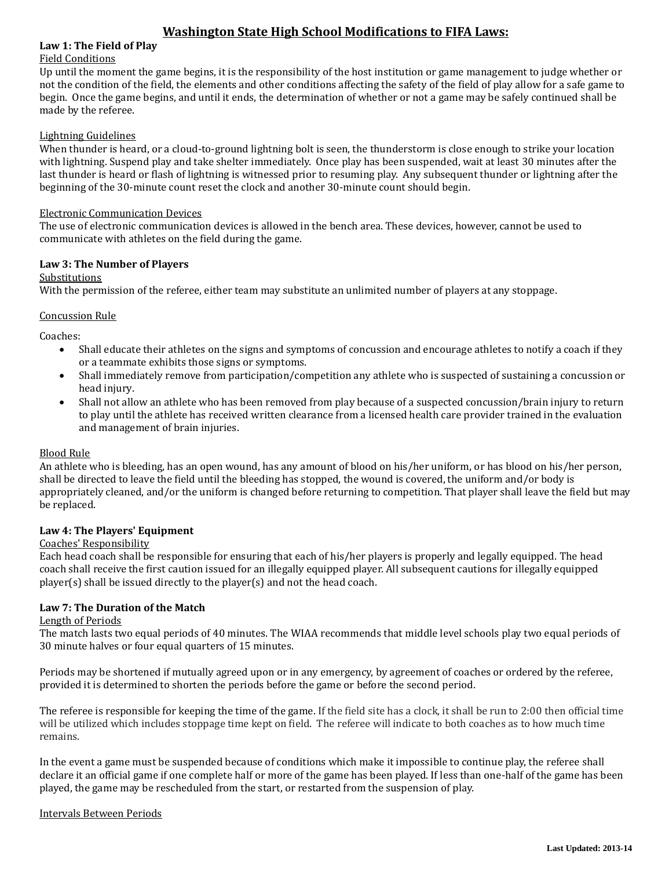## **Law 1: The Field of Play**

## Field Conditions

Up until the moment the game begins, it is the responsibility of the host institution or game management to judge whether or not the condition of the field, the elements and other conditions affecting the safety of the field of play allow for a safe game to begin. Once the game begins, and until it ends, the determination of whether or not a game may be safely continued shall be made by the referee.

### Lightning Guidelines

When thunder is heard, or a cloud-to-ground lightning bolt is seen, the thunderstorm is close enough to strike your location with lightning. Suspend play and take shelter immediately. Once play has been suspended, wait at least 30 minutes after the last thunder is heard or flash of lightning is witnessed prior to resuming play. Any subsequent thunder or lightning after the beginning of the 30-minute count reset the clock and another 30-minute count should begin.

#### Electronic Communication Devices

The use of electronic communication devices is allowed in the bench area. These devices, however, cannot be used to communicate with athletes on the field during the game.

## **Law 3: The Number of Players**

Substitutions

With the permission of the referee, either team may substitute an unlimited number of players at any stoppage.

### Concussion Rule

Coaches:

- Shall educate their athletes on the signs and symptoms of concussion and encourage athletes to notify a coach if they or a teammate exhibits those signs or symptoms.
- Shall immediately remove from participation/competition any athlete who is suspected of sustaining a concussion or head injury.
- Shall not allow an athlete who has been removed from play because of a suspected concussion/brain injury to return to play until the athlete has received written clearance from a licensed health care provider trained in the evaluation and management of brain injuries.

## Blood Rule

An athlete who is bleeding, has an open wound, has any amount of blood on his/her uniform, or has blood on his/her person, shall be directed to leave the field until the bleeding has stopped, the wound is covered, the uniform and/or body is appropriately cleaned, and/or the uniform is changed before returning to competition. That player shall leave the field but may be replaced.

## **Law 4: The Players' Equipment**

## Coaches' Responsibility

Each head coach shall be responsible for ensuring that each of his/her players is properly and legally equipped. The head coach shall receive the first caution issued for an illegally equipped player. All subsequent cautions for illegally equipped player(s) shall be issued directly to the player(s) and not the head coach.

## **Law 7: The Duration of the Match**

#### Length of Periods

The match lasts two equal periods of 40 minutes. The WIAA recommends that middle level schools play two equal periods of 30 minute halves or four equal quarters of 15 minutes.

Periods may be shortened if mutually agreed upon or in any emergency, by agreement of coaches or ordered by the referee, provided it is determined to shorten the periods before the game or before the second period.

The referee is responsible for keeping the time of the game. If the field site has a clock, it shall be run to 2:00 then official time will be utilized which includes stoppage time kept on field. The referee will indicate to both coaches as to how much time remains.

In the event a game must be suspended because of conditions which make it impossible to continue play, the referee shall declare it an official game if one complete half or more of the game has been played. If less than one-half of the game has been played, the game may be rescheduled from the start, or restarted from the suspension of play.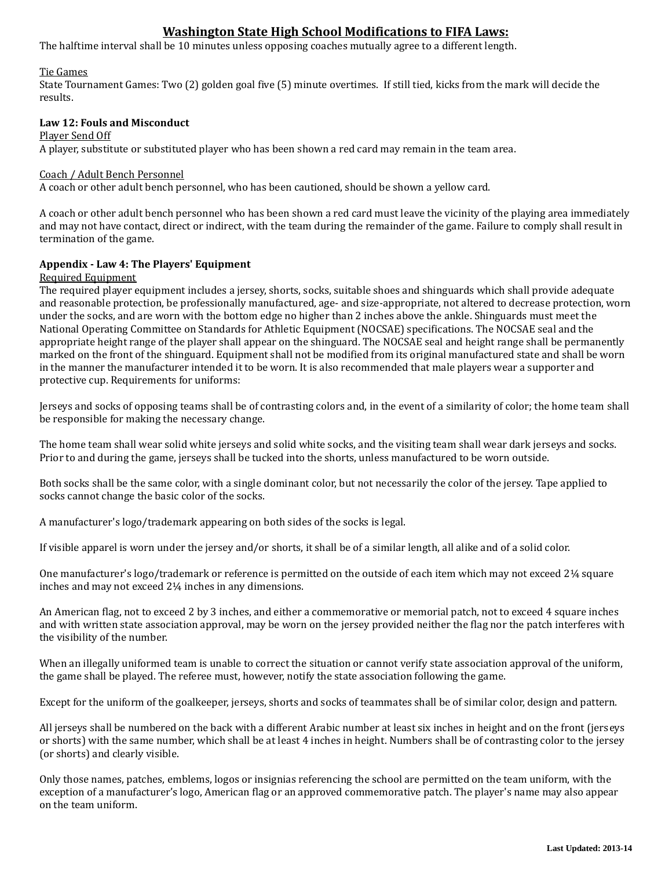The halftime interval shall be 10 minutes unless opposing coaches mutually agree to a different length.

### Tie Games

State Tournament Games: Two (2) golden goal five (5) minute overtimes. If still tied, kicks from the mark will decide the results.

## **Law 12: Fouls and Misconduct**

#### Player Send Off

A player, substitute or substituted player who has been shown a red card may remain in the team area.

### Coach / Adult Bench Personnel

A coach or other adult bench personnel, who has been cautioned, should be shown a yellow card.

A coach or other adult bench personnel who has been shown a red card must leave the vicinity of the playing area immediately and may not have contact, direct or indirect, with the team during the remainder of the game. Failure to comply shall result in termination of the game.

### **Appendix - Law 4: The Players' Equipment**

#### Required Equipment

The required player equipment includes a jersey, shorts, socks, suitable shoes and shinguards which shall provide adequate and reasonable protection, be professionally manufactured, age- and size-appropriate, not altered to decrease protection, worn under the socks, and are worn with the bottom edge no higher than 2 inches above the ankle. Shinguards must meet the National Operating Committee on Standards for Athletic Equipment (NOCSAE) specifications. The NOCSAE seal and the appropriate height range of the player shall appear on the shinguard. The NOCSAE seal and height range shall be permanently marked on the front of the shinguard. Equipment shall not be modified from its original manufactured state and shall be worn in the manner the manufacturer intended it to be worn. It is also recommended that male players wear a supporter and protective cup. Requirements for uniforms:

Jerseys and socks of opposing teams shall be of contrasting colors and, in the event of a similarity of color; the home team shall be responsible for making the necessary change.

The home team shall wear solid white jerseys and solid white socks, and the visiting team shall wear dark jerseys and socks. Prior to and during the game, jerseys shall be tucked into the shorts, unless manufactured to be worn outside.

Both socks shall be the same color, with a single dominant color, but not necessarily the color of the jersey. Tape applied to socks cannot change the basic color of the socks.

A manufacturer's logo/trademark appearing on both sides of the socks is legal.

If visible apparel is worn under the jersey and/or shorts, it shall be of a similar length, all alike and of a solid color.

One manufacturer's logo/trademark or reference is permitted on the outside of each item which may not exceed 2¼ square inches and may not exceed 2¼ inches in any dimensions.

An American flag, not to exceed 2 by 3 inches, and either a commemorative or memorial patch, not to exceed 4 square inches and with written state association approval, may be worn on the jersey provided neither the flag nor the patch interferes with the visibility of the number.

When an illegally uniformed team is unable to correct the situation or cannot verify state association approval of the uniform, the game shall be played. The referee must, however, notify the state association following the game.

Except for the uniform of the goalkeeper, jerseys, shorts and socks of teammates shall be of similar color, design and pattern.

All jerseys shall be numbered on the back with a different Arabic number at least six inches in height and on the front (jerseys or shorts) with the same number, which shall be at least 4 inches in height. Numbers shall be of contrasting color to the jersey (or shorts) and clearly visible.

Only those names, patches, emblems, logos or insignias referencing the school are permitted on the team uniform, with the exception of a manufacturer's logo, American flag or an approved commemorative patch. The player's name may also appear on the team uniform.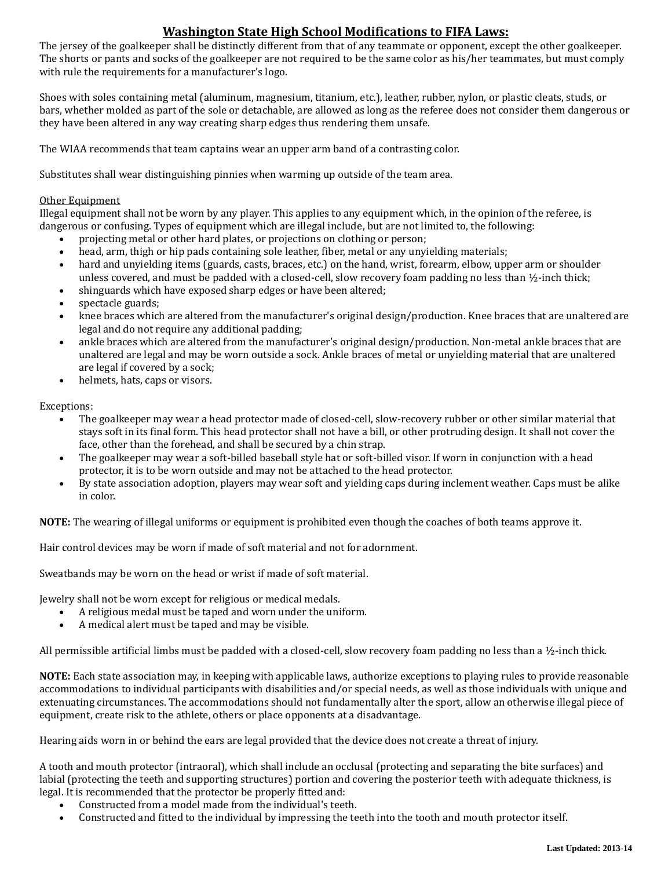The jersey of the goalkeeper shall be distinctly different from that of any teammate or opponent, except the other goalkeeper. The shorts or pants and socks of the goalkeeper are not required to be the same color as his/her teammates, but must comply with rule the requirements for a manufacturer's logo.

Shoes with soles containing metal (aluminum, magnesium, titanium, etc.), leather, rubber, nylon, or plastic cleats, studs, or bars, whether molded as part of the sole or detachable, are allowed as long as the referee does not consider them dangerous or they have been altered in any way creating sharp edges thus rendering them unsafe.

The WIAA recommends that team captains wear an upper arm band of a contrasting color.

Substitutes shall wear distinguishing pinnies when warming up outside of the team area.

## Other Equipment

Illegal equipment shall not be worn by any player. This applies to any equipment which, in the opinion of the referee, is dangerous or confusing. Types of equipment which are illegal include, but are not limited to, the following:

- projecting metal or other hard plates, or projections on clothing or person;
- head, arm, thigh or hip pads containing sole leather, fiber, metal or any unyielding materials;
- hard and unyielding items (guards, casts, braces, etc.) on the hand, wrist, forearm, elbow, upper arm or shoulder unless covered, and must be padded with a closed-cell, slow recovery foam padding no less than ½-inch thick;
- shinguards which have exposed sharp edges or have been altered;
- spectacle guards;
- knee braces which are altered from the manufacturer's original design/production. Knee braces that are unaltered are legal and do not require any additional padding;
- ankle braces which are altered from the manufacturer's original design/production. Non-metal ankle braces that are unaltered are legal and may be worn outside a sock. Ankle braces of metal or unyielding material that are unaltered are legal if covered by a sock;
- helmets, hats, caps or visors.

Exceptions:

- The goalkeeper may wear a head protector made of closed-cell, slow-recovery rubber or other similar material that stays soft in its final form. This head protector shall not have a bill, or other protruding design. It shall not cover the face, other than the forehead, and shall be secured by a chin strap.
- The goalkeeper may wear a soft-billed baseball style hat or soft-billed visor. If worn in conjunction with a head protector, it is to be worn outside and may not be attached to the head protector.
- By state association adoption, players may wear soft and yielding caps during inclement weather. Caps must be alike in color.

**NOTE:** The wearing of illegal uniforms or equipment is prohibited even though the coaches of both teams approve it.

Hair control devices may be worn if made of soft material and not for adornment.

Sweatbands may be worn on the head or wrist if made of soft material.

Jewelry shall not be worn except for religious or medical medals.

- A religious medal must be taped and worn under the uniform.
- A medical alert must be taped and may be visible.

All permissible artificial limbs must be padded with a closed-cell, slow recovery foam padding no less than a ½-inch thick.

**NOTE:** Each state association may, in keeping with applicable laws, authorize exceptions to playing rules to provide reasonable accommodations to individual participants with disabilities and/or special needs, as well as those individuals with unique and extenuating circumstances. The accommodations should not fundamentally alter the sport, allow an otherwise illegal piece of equipment, create risk to the athlete, others or place opponents at a disadvantage.

Hearing aids worn in or behind the ears are legal provided that the device does not create a threat of injury.

A tooth and mouth protector (intraoral), which shall include an occlusal (protecting and separating the bite surfaces) and labial (protecting the teeth and supporting structures) portion and covering the posterior teeth with adequate thickness, is legal. It is recommended that the protector be properly fitted and:

- Constructed from a model made from the individual's teeth.
- Constructed and fitted to the individual by impressing the teeth into the tooth and mouth protector itself.